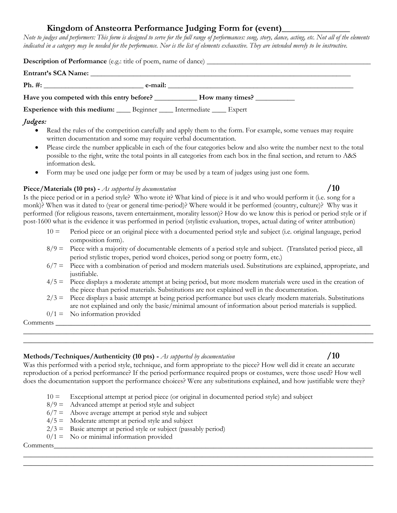# **Kingdom of Ansteorra Performance Judging Form for (event)\_\_\_\_\_\_\_\_\_\_\_\_\_\_\_**

*Note to judges and performers: This form is designed to serve for the full range of performances: song, story, dance, acting, etc. Not all of the elements*  indicated in a category may be needed for the performance. Nor is the list of elements exhaustive. They are intended merely to be instructive.

| <b>Description of Performance</b> (e.g.: title of poem, name of dance) ________________ |         |                 |
|-----------------------------------------------------------------------------------------|---------|-----------------|
| Entrant's SCA Name:                                                                     |         |                 |
| Ph. #:                                                                                  | e-mail: |                 |
| Have you competed with this entry before?                                               |         | How many times? |

**Experience with this medium:** \_\_\_\_\_ Beginner \_\_\_\_\_ Intermediate \_\_\_\_\_ Expert

# Judges:

- Read the rules of the competition carefully and apply them to the form. For example, some venues may require written documentation and some may require verbal documentation.
- Please circle the number applicable in each of the four categories below and also write the number next to the total possible to the right, write the total points in all categories from each box in the final section, and return to A&S information desk.
- Form may be used one judge per form or may be used by a team of judges using just one form.

#### **Piece/Materials (10 pts) -** *As supported by documentation* **/10**

Is the piece period or in a period style? Who wrote it? What kind of piece is it and who would perform it (i.e. song for a monk)? When was it dated to (year or general time-period)? Where would it be performed (country, culture)? Why was it performed (for religious reasons, tavern entertainment, morality lesson)? How do we know this is period or period style or if post-1600 what is the evidence it was performed in period (stylistic evaluation, tropes, actual dating of writer attribution)

- $10 =$  Period piece or an original piece with a documented period style and subject (i.e. original language, period composition form).
- $8/9$  = Piece with a majority of documentable elements of a period style and subject. (Translated period piece, all period stylistic tropes, period word choices, period song or poetry form, etc.)
- $6/7$  = Piece with a combination of period and modern materials used. Substitutions are explained, appropriate, and justifiable.
- 4/5 = Piece displays a moderate attempt at being period, but more modern materials were used in the creation of the piece than period materials. Substitutions are not explained well in the documentation.
- $2/3$  = Piece displays a basic attempt at being period performance but uses clearly modern materials. Substitutions are not explained and only the basic/minimal amount of information about period materials is supplied.
- $0/1 =$  No information provided

Comments

# **Methods/Techniques/Authenticity (10 pts) -** *As supported by documentation* **/10**

Was this performed with a period style, technique, and form appropriate to the piece? How well did it create an accurate reproduction of a period performance? If the period performance required props or costumes, were those used? How well does the documentation support the performance choices? Were any substitutions explained, and how justifiable were they?

 $\_$  , and the contribution of the contribution of  $\mathcal{L}$  , and  $\mathcal{L}$  , and  $\mathcal{L}$  , and  $\mathcal{L}$  , and  $\mathcal{L}$  $\_$  , and the contribution of the contribution of  $\mathcal{L}$  , and  $\mathcal{L}$  , and  $\mathcal{L}$  , and  $\mathcal{L}$  , and  $\mathcal{L}$ 

 $\_$  ,  $\_$  ,  $\_$  ,  $\_$  ,  $\_$  ,  $\_$  ,  $\_$  ,  $\_$  ,  $\_$  ,  $\_$  ,  $\_$  ,  $\_$  ,  $\_$  ,  $\_$  ,  $\_$  ,  $\_$  ,  $\_$  ,  $\_$  ,  $\_$  ,  $\_$  ,  $\_$  ,  $\_$  ,  $\_$  ,  $\_$  ,  $\_$  ,  $\_$  ,  $\_$  ,  $\_$  ,  $\_$  ,  $\_$  ,  $\_$  ,  $\_$  ,  $\_$  ,  $\_$  ,  $\_$  ,  $\_$  ,  $\_$  ,  $\_$  , and the contribution of the contribution of  $\mathcal{L}$  , and  $\mathcal{L}$  , and  $\mathcal{L}$  , and  $\mathcal{L}$  , and  $\mathcal{L}$ 

- $10 =$  Exceptional attempt at period piece (or original in documented period style) and subject
- $8/9$  = Advanced attempt at period style and subject
- $6/7$  = Above average attempt at period style and subject
- $4/5$  = Moderate attempt at period style and subject
- $2/3$  = Basic attempt at period style or subject (passably period)
- $0/1 =$  No or minimal information provided

Comments